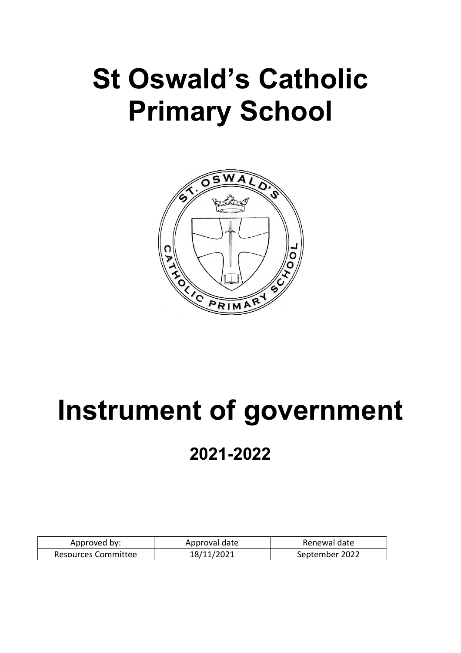# **St Oswald's Catholic Primary School**



# **Instrument of government 2021-2022**

| Approved by:        | Approval date | Renewal date   |
|---------------------|---------------|----------------|
| Resources Committee | 18/11/2021    | September 2022 |